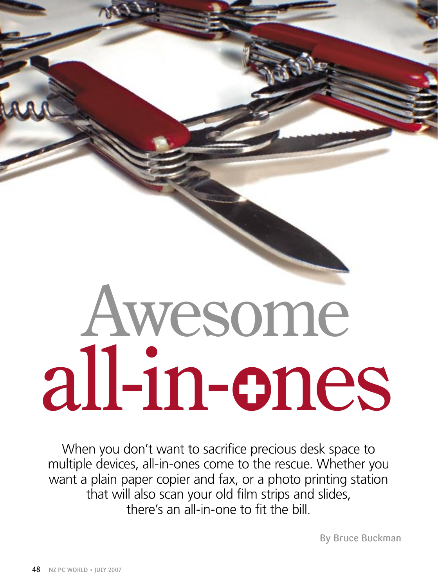# Awesome all-in-ones

When you don't want to sacrifice precious desk space to multiple devices, all-in-ones come to the rescue. Whether you want a plain paper copier and fax, or a photo printing station that will also scan your old film strips and slides, there's an all-in-one to fit the bill.

By Bruce Buckman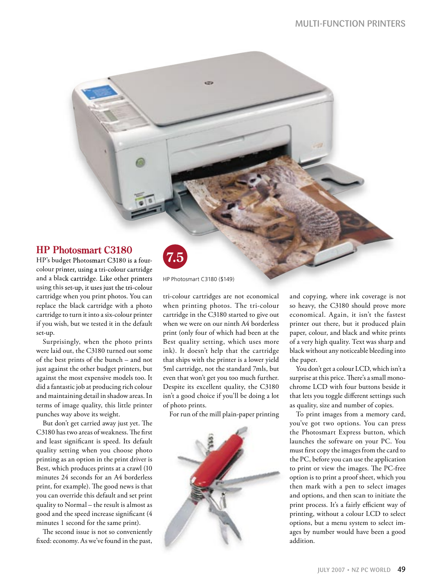# **HP Photosmart C3180 HP Photosmart**

HP's budget Photosmart C3180 is a fourcolour printer, using a tri-colour cartridge and a black cartridge. Like other printers using this set-up, it uses just the tri-colour cartridge when you print photos. You can replace the black cartridge with a photo cartridge to turn it into a six-colour printer if you wish, but we tested it in the default set-up.

Surprisingly, when the photo prints were laid out, the C3180 turned out some of the best prints of the bunch – and not just against the other budget printers, but against the most expensive models too. It did a fantastic job at producing rich colour and maintaining detail in shadow areas. In terms of image quality, this little printer punches way above its weight.

But don't get carried away just yet. The C3180 has two areas of weakness. The first and least significant is speed. Its default quality setting when you choose photo printing as an option in the print driver is Best, which produces prints at a crawl (10 minutes 24 seconds for an A4 borderless print, for example). The good news is that you can override this default and set print quality to Normal – the result is almost as good and the speed increase significant (4 minutes 1 second for the same print).

The second issue is not so conveniently fixed: economy. As we've found in the past,



HP Photosmart C3180 (\$149)

kitti

tri-colour cartridges are not economical when printing photos. The tri-colour cartridge in the C3180 started to give out when we were on our ninth A4 borderless print (only four of which had been at the Best quality setting, which uses more ink). It doesn't help that the cartridge that ships with the printer is a lower yield 5ml cartridge, not the standard 7mls, but even that won't get you too much further. Despite its excellent quality, the C3180 isn't a good choice if you'll be doing a lot of photo prints.

For run of the mill plain-paper printing



and copying, where ink coverage is not so heavy, the C3180 should prove more economical. Again, it isn't the fastest printer out there, but it produced plain paper, colour, and black and white prints of a very high quality. Text was sharp and black without any noticeable bleeding into the paper.

You don't get a colour LCD, which isn't a surprise at this price. There's a small monochrome LCD with four buttons beside it that lets you toggle different settings such as quality, size and number of copies.

To print images from a memory card, you've got two options. You can press the Photosmart Express button, which launches the software on your PC. You must first copy the images from the card to the PC, before you can use the application to print or view the images. The PC-free option is to print a proof sheet, which you then mark with a pen to select images and options, and then scan to initiate the print process. It's a fairly efficient way of printing, without a colour LCD to select options, but a menu system to select images by number would have been a good addition.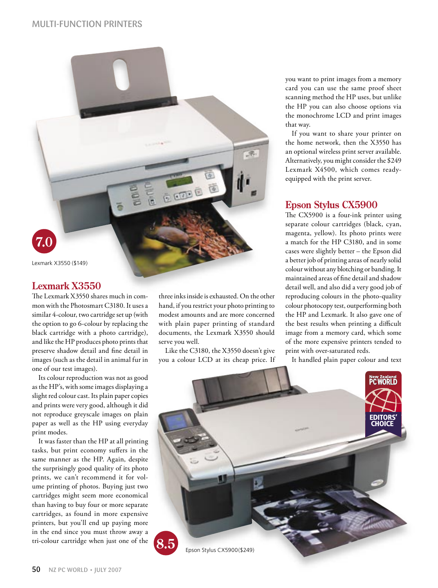

# **Lexmark X3550**

The Lexmark X3550 shares much in common with the Photosmart C3180. It uses a similar 4-colour, two cartridge set up (with the option to go 6-colour by replacing the black cartridge with a photo cartridge), and like the HP produces photo prints that preserve shadow detail and fine detail in images (such as the detail in animal fur in one of our test images).

Its colour reproduction was not as good as the HP's, with some images displaying a slight red colour cast. Its plain paper copies and prints were very good, although it did not reproduce greyscale images on plain paper as well as the HP using everyday print modes.

It was faster than the HP at all printing tasks, but print economy suffers in the same manner as the HP. Again, despite the surprisingly good quality of its photo prints, we can't recommend it for volume printing of photos. Buying just two cartridges might seem more economical than having to buy four or more separate cartridges, as found in more expensive printers, but you'll end up paying more in the end since you must throw away a tri-colour cartridge when just one of the

three inks inside is exhausted. On the other hand, if you restrict your photo printing to modest amounts and are more concerned with plain paper printing of standard documents, the Lexmark X3550 should serve you well.

**BEDBE** 

Like the C3180, the X3550 doesn't give you a colour LCD at its cheap price. If you want to print images from a memory card you can use the same proof sheet scanning method the HP uses, but unlike the HP you can also choose options via the monochrome LCD and print images that way.

If you want to share your printer on the home network, then the X3550 has an optional wireless print server available. Alternatively, you might consider the \$249 Lexmark X4500, which comes readyequipped with the print server.

# **Epson Stylus CX5900**

The CX5900 is a four-ink printer using separate colour cartridges (black, cyan, magenta, yellow). Its photo prints were a match for the HP C3180, and in some cases were slightly better – the Epson did a better job of printing areas of nearly solid colour without any blotching or banding. It maintained areas of fine detail and shadow detail well, and also did a very good job of reproducing colours in the photo-quality colour photocopy test, outperforming both the HP and Lexmark. It also gave one of the best results when printing a difficult image from a memory card, which some of the more expensive printers tended to print with over-saturated reds.

It handled plain paper colour and text

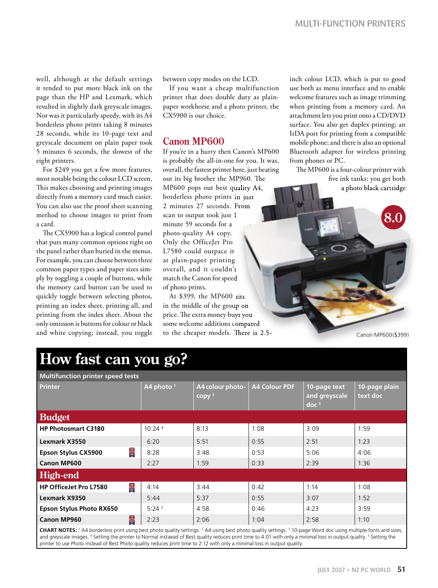well, although at the default settings it tended to put more black ink on the page than the HP and Lexmark, which resulted in slightly dark greyscale images. Nor was it particularly speedy, with its A4 borderless photo prints taking 8 minutes 28 seconds, while its 10-page text and greyscale document on plain paper took 5 minutes 6 seconds, the slowest of the eight printers.

For \$249 you get a few more features, most notable being the colour LCD screen. This makes choosing and printing images directly from a memory card much easier. You can also use the proof sheet scanning method to choose images to print from a card.

The CX5900 has a logical control panel that puts many common options right on the panel rather than buried in the menus. For example, you can choose between three common paper types and paper sizes simply by toggling a couple of buttons, while the memory card button can be used to quickly toggle between selecting photos, printing an index sheet, printing all, and printing from the index sheet. About the only omission is buttons for colour or black and white copying; instead, you toggle between copy modes on the LCD.

If you want a cheap multifunction printer that does double duty as plainpaper workhorse and a photo printer, the CX5900 is our choice.

## **Canon MP600**

If you're in a hurry then Canon's MP600 is probably the all-in-one for you. It was, overall, the fastest printer here, just beating out its big brother the MP960. The out its big brother the MP960. The<br>MP600 pops out best quality A4, borderless photo prints in just borderless photo prints in 2 minutes 27 seconds. From 2 minutes 27 seconds. scan to output took just 1 minute 59 seconds for a photo-quality A4 copy. Only the OfficeJet Pro L7580 could outpace it at plain-paper printing at plain-paper overall, and it couldn't overall, and it match the Canon for speed match the Canon for of photo prints. out its big brother the MP960. The<br>
MP600 pops out best quality A4,<br>
borderless photo pints in just<br>
2 minutes 27 seconds. From<br>
scan to output took just 1<br>
minute 59 seconds for a<br>
photo-quality A4 copy.<br>
Only the OfficeJ

At \$399, the MP600 sits At \$399, the MP600 in the middle of the group on price. The extra money buys you some welcome additions compared to the cheaper models. There is 2.5inch colour LCD, which is put to good use both as menu interface and to enable welcome features such as image trimming when printing from a memory card. An attachment lets you print onto a CD/DVD surface. You also get duplex printing; an IrDA port for printing from a compatible mobile phone; and there is also an optional Bluetooth adapter for wireless printing from phones or PC.

The MP600 is a four-colour printer with five ink tanks: you get both

a photo black cartridge

Canon MP600(\$399)

# **How fast can you go?**

| <b>Multifunction printer speed tests</b>                                                                                                                                                      |                   |                                       |                      |                                                   |                           |  |  |  |  |  |
|-----------------------------------------------------------------------------------------------------------------------------------------------------------------------------------------------|-------------------|---------------------------------------|----------------------|---------------------------------------------------|---------------------------|--|--|--|--|--|
| <b>Printer</b>                                                                                                                                                                                | A4 photo $1$      | A4 colour photo-<br>copy <sup>2</sup> | <b>A4 Colour PDF</b> | 10-page text<br>and greyscale<br>doc <sup>3</sup> | 10-page plain<br>text doc |  |  |  |  |  |
| <b>Budget</b>                                                                                                                                                                                 |                   |                                       |                      |                                                   |                           |  |  |  |  |  |
| <b>HP Photosmart C3180</b>                                                                                                                                                                    | 10:24 4           | 8:13                                  | 1:08                 | 3:09                                              | 1:59                      |  |  |  |  |  |
| Lexmark X3550                                                                                                                                                                                 | 6:20              | 5:51                                  | 0:55                 | 2:51                                              | 1:23                      |  |  |  |  |  |
| <b>IBL</b><br><b>Epson Stylus CX5900</b>                                                                                                                                                      | 8:28              | 3:48                                  | 0:53                 | 5:06                                              | 4:06                      |  |  |  |  |  |
| <b>Canon MP600</b>                                                                                                                                                                            | 2:27              | 1:59                                  | 0:33                 | 2:39                                              | 1:36                      |  |  |  |  |  |
| High-end                                                                                                                                                                                      |                   |                                       |                      |                                                   |                           |  |  |  |  |  |
| 图<br><b>HP OfficeJet Pro L7580</b>                                                                                                                                                            | 4:14              | 3:44                                  | 0:42                 | 1:14                                              | 1:08                      |  |  |  |  |  |
| <b>Lexmark X9350</b>                                                                                                                                                                          | 5:44              | 5:37                                  | 0:55                 | 3:07                                              | 1:52                      |  |  |  |  |  |
| <b>Epson Stylus Photo RX650</b>                                                                                                                                                               | 5:24 <sup>5</sup> | 4:58                                  | 0:46                 | 4:23                                              | 3:59                      |  |  |  |  |  |
| 图<br><b>Canon MP960</b>                                                                                                                                                                       | 2:23              | 2:06                                  | 1:04                 | 2:58                                              | 1:10                      |  |  |  |  |  |
| <b>CHART NOTES:</b> 1 A4 borderless print using best photo quality settings. <sup>2</sup> A4 using best photo quality settings. <sup>3</sup> 10-page Word doc using multiple fonts and sizes, |                   |                                       |                      |                                                   |                           |  |  |  |  |  |

and greyscale images. <sup>4</sup> Setting the printer to Normal instaead of Best quality reduces print time to 4:01 with only a minimal loss in output quality. <sup>5</sup> Setting the printer to use Photo instead of Best Photo quality reduces print time to 2:12 with only a minimal loss in output quality.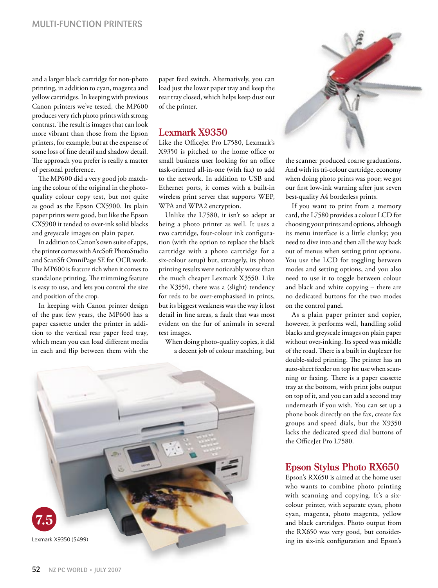and a larger black cartridge for non-photo printing, in addition to cyan, magenta and yellow cartridges. In keeping with previous Canon printers we've tested, the MP600 produces very rich photo prints with strong contrast. The result is images that can look more vibrant than those from the Epson printers, for example, but at the expense of some loss of fine detail and shadow detail. The approach you prefer is really a matter of personal preference.

The MP600 did a very good job matching the colour of the original in the photoquality colour copy test, but not quite as good as the Epson CX5900. Its plain paper prints were good, but like the Epson CX5900 it tended to over-ink solid blacks and greyscale images on plain paper.

In addition to Canon's own suite of apps, the printer comes with ArcSoft PhotoStudio and ScanSft OmniPage SE for OCR work. The MP600 is feature rich when it comes to standalone printing. The trimming feature is easy to use, and lets you control the size and position of the crop.

In keeping with Canon printer design of the past few years, the MP600 has a paper cassette under the printer in addition to the vertical rear paper feed tray, which mean you can load different media in each and flip between them with the

paper feed switch. Alternatively, you can load just the lower paper tray and keep the rear tray closed, which helps keep dust out of the printer.

## **Lexmark X9350**

Like the OfficeJet Pro L7580, Lexmark's X9350 is pitched to the home office or small business user looking for an office task-oriented all-in-one (with fax) to add to the network. In addition to USB and Ethernet ports, it comes with a built-in wireless print server that supports WEP, WPA and WPA2 encryption.

Unlike the L7580, it isn't so adept at being a photo printer as well. It uses a two cartridge, four-colour ink configuration (with the option to replace the black cartridge with a photo cartridge for a six-colour setup) but, strangely, its photo printing results were noticeably worse than the much cheaper Lexmark X3550. Like the X3550, there was a (slight) tendency for reds to be over-emphasised in prints, but its biggest weakness was the way it lost detail in fine areas, a fault that was most evident on the fur of animals in several test images.

When doing photo-quality copies, it did a decent job of colour matching, but



the scanner produced coarse graduations. And with its tri-colour cartridge, economy when doing photo prints was poor; we got our first low-ink warning after just seven best-quality A4 borderless prints.

If you want to print from a memory card, the L7580 provides a colour LCD for choosing your prints and options, although its menu interface is a little clunky; you need to dive into and then all the way back out of menus when setting print options. You use the LCD for toggling between modes and setting options, and you also need to use it to toggle between colour and black and white copying – there are no dedicated buttons for the two modes on the control panel.

As a plain paper printer and copier, however, it performs well, handling solid blacks and greyscale images on plain paper without over-inking. Its speed was middle of the road. There is a built in duplexer for double-sided printing. The printer has an auto-sheet feeder on top for use when scanning or faxing. There is a paper cassette tray at the bottom, with print jobs output on top of it, and you can add a second tray underneath if you wish. You can set up a phone book directly on the fax, create fax groups and speed dials, but the X9350 lacks the dedicated speed dial buttons of the OfficeJet Pro L7580.

#### **Epson Stylus Photo RX650**

Epson's RX650 is aimed at the home user who wants to combine photo printing with scanning and copying. It's a sixcolour printer, with separate cyan, photo cyan, magenta, photo magenta, yellow and black cartridges. Photo output from the RX650 was very good, but considering its six-ink configuration and Epson's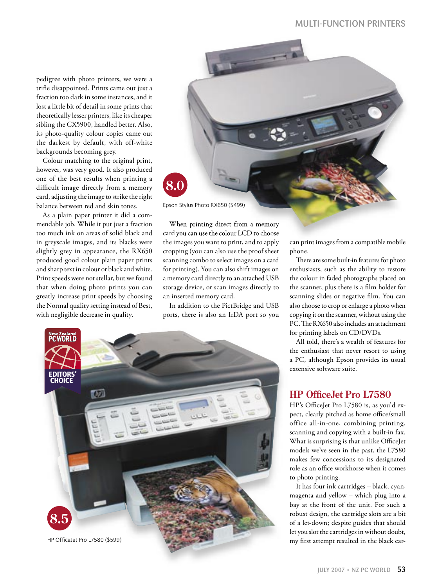pedigree with photo printers, we were a trifle disappointed. Prints came out just a fraction too dark in some instances, and it lost a little bit of detail in some prints that theoretically lesser printers, like its cheaper sibling the CX5900, handled better. Also, its photo-quality colour copies came out the darkest by default, with off-white backgrounds becoming grey.

Colour matching to the original print, however, was very good. It also produced one of the best results when printing a difficult image directly from a memory card, adjusting the image to strike the right balance between red and skin tones.

As a plain paper printer it did a commendable job. While it put just a fraction too much ink on areas of solid black and in greyscale images, and its blacks were slightly grey in appearance, the RX650 produced good colour plain paper prints and sharp text in colour or black and white. Print speeds were not stellar, but we found that when doing photo prints you can greatly increase print speeds by choosing the Normal quality setting instead of Best, with negligible decrease in quality.



When printing direct from a memory card you can use the colour LCD to choose card you can usethe colour LCD to the images you want to print, and to apply cropping (you can also use the proof sheet scanning combo to select images on a card for printing). You can also shift images on a memory card directly to an attached USB storage device, or scan images directly to an inserted memory card. Epson Stylus Photo RX650 (\$499)<br>When printing direct from a memory<br>card you can use the colour LCD to choose<br>the images you want to print, and to apply can print images from a compatible

In addition to the PictBridge and USB ports, there is also an IrDA port so you



can print images from a compatible mobile phone.

There are some built-in features for photo enthusiasts, such as the ability to restore the colour in faded photographs placed on the scanner, plus there is a film holder for scanning slides or negative film. You can also choose to crop or enlarge a photo when copying it on the scanner, without using the PC. The RX650 also includes an attachment for printing labels on CD/DVDs.

All told, there's a wealth of features for the enthusiast that never resort to using a PC, although Epson provides its usual extensive software suite.

## **HP OfficeJet Pro L7580**

HP's OfficeJet Pro L7580 is, as you'd expect, clearly pitched as home office/small office all-in-one, combining printing, scanning and copying with a built-in fax. What is surprising is that unlike OfficeJet models we've seen in the past, the L7580 makes few concessions to its designated role as an office workhorse when it comes to photo printing.

It has four ink cartridges – black, cyan, magenta and yellow – which plug into a bay at the front of the unit. For such a robust design, the cartridge slots are a bit of a let-down; despite guides that should let you slot the cartridges in without doubt, my first attempt resulted in the black car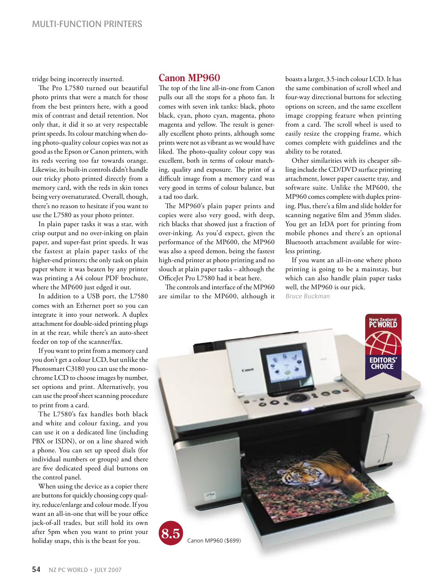tridge being incorrectly inserted.

The Pro L7580 turned out beautiful photo prints that were a match for those from the best printers here, with a good mix of contrast and detail retention. Not only that, it did it so at very respectable print speeds. Its colour matching when doing photo-quality colour copies was not as good as the Epson or Canon printers, with its reds veering too far towards orange. Likewise, its built-in controls didn't handle our tricky photo printed directly from a memory card, with the reds in skin tones being very oversaturated. Overall, though, there's no reason to hesitate if you want to use the L7580 as your photo printer.

In plain paper tasks it was a star, with crisp output and no over-inking on plain paper, and super-fast print speeds. It was the fastest at plain paper tasks of the higher-end printers; the only task on plain paper where it was beaten by any printer was printing a A4 colour PDF brochure, where the MP600 just edged it out.

In addition to a USB port, the L7580 comes with an Ethernet port so you can integrate it into your network. A duplex attachment for double-sided printing plugs in at the rear, while there's an auto-sheet feeder on top of the scanner/fax.

If you want to print from a memory card you don't get a colour LCD, but unlike the Photosmart C3180 you can use the monochrome LCD to choose images by number, set options and print. Alternatively, you can use the proof sheet scanning procedure to print from a card.

The L7580's fax handles both black and white and colour faxing, and you can use it on a dedicated line (including PBX or ISDN), or on a line shared with a phone. You can set up speed dials (for individual numbers or groups) and there are five dedicated speed dial buttons on the control panel.

When using the device as a copier there are buttons for quickly choosing copy quality, reduce/enlarge and colour mode. If you want an all-in-one that will be your office jack-of-all trades, but still hold its own after 5pm when you want to print your holiday snaps, this is the beast for you.

## **Canon MP960**

The top of the line all-in-one from Canon pulls out all the stops for a photo fan. It comes with seven ink tanks: black, photo black, cyan, photo cyan, magenta, photo magenta and yellow. The result is generally excellent photo prints, although some prints were not as vibrant as we would have liked. The photo-quality colour copy was excellent, both in terms of colour matching, quality and exposure. The print of a difficult image from a memory card was very good in terms of colour balance, but a tad too dark.

The MP960's plain paper prints and copies were also very good, with deep, rich blacks that showed just a fraction of over-inking. As you'd expect, given the performance of the MP600, the MP960 was also a speed demon, being the fastest high-end printer at photo printing and no slouch at plain paper tasks – although the OfficeJet Pro L7580 had it beat here.

The controls and interface of the MP960 are similar to the MP600, although it boasts a larger, 3.5-inch colour LCD. It has the same combination of scroll wheel and four-way directional buttons for selecting options on screen, and the same excellent image cropping feature when printing from a card. The scroll wheel is used to easily resize the cropping frame, which comes complete with guidelines and the ability to be rotated.

Other similarities with its cheaper sibling include the CD/DVD surface printing attachment, lower paper cassette tray, and software suite. Unlike the MP600, the MP960 comes complete with duplex printing. Plus, there's a film and slide holder for scanning negative film and 35mm slides. You get an IrDA port for printing from mobile phones and there's an optional Bluetooth attachment available for wireless printing.

If you want an all-in-one where photo printing is going to be a mainstay, but which can also handle plain paper tasks well, the MP960 is our pick. Bruce Buckman